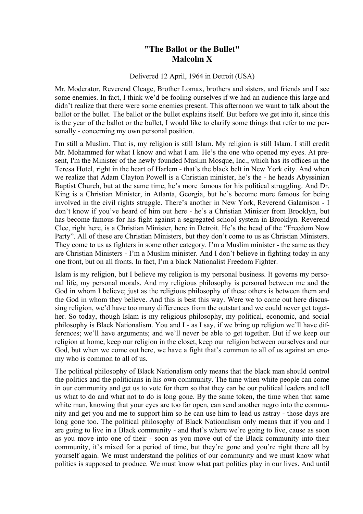## **"The Ballot or the Bullet" Malcolm X**

## Delivered 12 April, 1964 in Detroit (USA)

Mr. Moderator, Reverend Cleage, Brother Lomax, brothers and sisters, and friends and I see some enemies. In fact, I think we'd be fooling ourselves if we had an audience this large and didn't realize that there were some enemies present. This afternoon we want to talk about the ballot or the bullet. The ballot or the bullet explains itself. But before we get into it, since this is the year of the ballot or the bullet, I would like to clarify some things that refer to me personally - concerning my own personal position.

I'm still a Muslim. That is, my religion is still Islam. My religion is still Islam. I still credit Mr. Mohammed for what I know and what I am. He's the one who opened my eyes. At present, I'm the Minister of the newly founded Muslim Mosque, Inc., which has its offices in the Teresa Hotel, right in the heart of Harlem - that's the black belt in New York city. And when we realize that Adam Clayton Powell is a Christian minister, he's the - he heads Abyssinian Baptist Church, but at the same time, he's more famous for his political struggling. And Dr. King is a Christian Minister, in Atlanta, Georgia, but he's become more famous for being involved in the civil rights struggle. There's another in New York, Reverend Galamison - I don't know if you've heard of him out here - he's a Christian Minister from Brooklyn, but has become famous for his fight against a segregated school system in Brooklyn. Reverend Clee, right here, is a Christian Minister, here in Detroit. He's the head of the "Freedom Now Party". All of these are Christian Ministers, but they don't come to us as Christian Ministers. They come to us as fighters in some other category. I'm a Muslim minister - the same as they are Christian Ministers - I'm a Muslim minister. And I don't believe in fighting today in any one front, but on all fronts. In fact, I'm a black Nationalist Freedom Fighter.

Islam is my religion, but I believe my religion is my personal business. It governs my personal life, my personal morals. And my religious philosophy is personal between me and the God in whom I believe; just as the religious philosophy of these others is between them and the God in whom they believe. And this is best this way. Were we to come out here discussing religion, we'd have too many differences from the outstart and we could never get together. So today, though Islam is my religious philosophy, my political, economic, and social philosophy is Black Nationalism. You and I - as I say, if we bring up religion we'll have differences; we'll have arguments; and we'll never be able to get together. But if we keep our religion at home, keep our religion in the closet, keep our religion between ourselves and our God, but when we come out here, we have a fight that's common to all of us against an enemy who is common to all of us.

The political philosophy of Black Nationalism only means that the black man should control the politics and the politicians in his own community. The time when white people can come in our community and get us to vote for them so that they can be our political leaders and tell us what to do and what not to do is long gone. By the same token, the time when that same white man, knowing that your eyes are too far open, can send another negro into the community and get you and me to support him so he can use him to lead us astray - those days are long gone too. The political philosophy of Black Nationalism only means that if you and I are going to live in a Black community - and that's where we're going to live, cause as soon as you move into one of their - soon as you move out of the Black community into their community, it's mixed for a period of time, but they're gone and you're right there all by yourself again. We must understand the politics of our community and we must know what politics is supposed to produce. We must know what part politics play in our lives. And until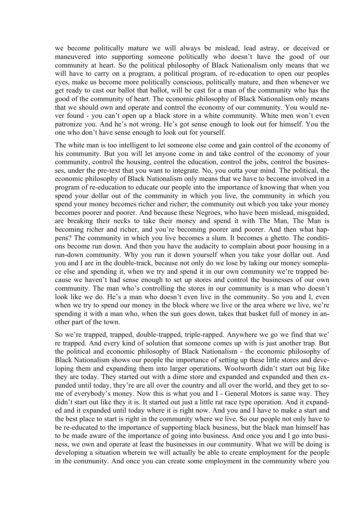we become politically mature we will always be mislead, lead astray, or deceived or maneuvered into supporting someone politically who doesn't have the good of our community at heart. So the political philosophy of Black Nationalism only means that we will have to carry on a program, a political program, of re-education to open our peoples eyes, make us become more politically conscious, politically mature, and then whenever we get ready to cast our ballot that ballot, will be cast for a man of the community who has the good of the community of heart. The economic philosophy of Black Nationalism only means that we should own and operate and control the economy of our community. You would never found - you can't open up a black store in a white community. White men won't even patronize you. And he's not wrong. He's got sense enough to look out for himself. You the one who don't have sense enough to look out for yourself.

The white man is too intelligent to let someone else come and gain control of the economy of his community. But you will let anyone come in and take control of the economy of your community, control the housing, control the education, control the jobs, control the businesses, under the pre-text that you want to integrate. No, you outta your mind. The political, the economic philosophy of Black Nationalism only means that we have to become involved in a program of re-education to educate our people into the importance of knowing that when you spend your dollar out of the community in which you live, the community in which you spend your money becomes richer and richer; the community out which you take your money becomes poorer and poorer. And because these Negroes, who have been mislead, misguided, are breaking their necks to take their money and spend it with The Man, The Man is becoming richer and richer, and you're becoming poorer and poorer. And then what happens? The community in which you live becomes a slum. It becomes a ghetto. The conditions become run down. And then you have the audacity to complain about poor housing in a run-down community. Why you run it down yourself when you take your dollar out. And you and I are in the double-track, because not only do we lose by taking our money someplace else and spending it, when we try and spend it in our own community we're trapped because we haven't had sense enough to set up stores and control the businesses of our own community. The man who's controlling the stores in our community is a man who doesn't look like we do. He's a man who doesn't even live in the community. So you and I, even when we try to spend our money in the block where we live or the area where we live, we're spending it with a man who, when the sun goes down, takes that basket full of money in another part of the town.

So we're trapped, trapped, double-trapped, triple-rapped. Anywhere we go we find that we' re trapped. And every kind of solution that someone comes up with is just another trap. But the political and economic philosophy of Black Nationalism - the economic philosophy of Black Nationalism shows our people the importance of setting up these little stores and developing them and expanding them into larger operations. Woolworth didn't start out big like they are today. They started out with a dime store and expanded and expanded and then expanded until today, they're are all over the country and all over the world, and they get to some of everybody's money. Now this is what you and I - General Motors is same way. They didn't start out like they it is. It started out just a little rat race type operation. And it expanded and it expanded until today where it is right now. And you and I have to make a start and the best place to start is right in the community where we live. So our people not only have to be re-educated to the importance of supporting black business, but the black man himself has to be made aware of the importance of going into business. And once you and I go into business, we own and operate at least the businesses in our community. What we will be doing is developing a situation wherein we will actually be able to create employment for the people in the community. And once you can create some employment in the community where you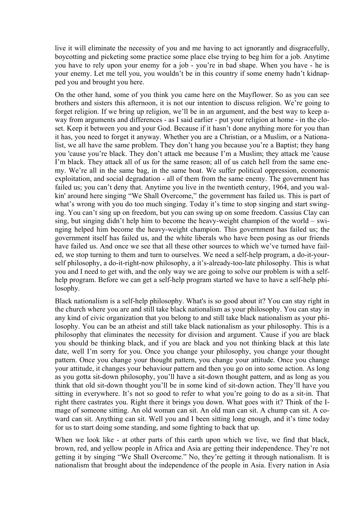live it will eliminate the necessity of you and me having to act ignorantly and disgracefully, boycotting and picketing some practice some place else trying to beg him for a job. Anytime you have to rely upon your enemy for a job - you're in bad shape. When you have - he is your enemy. Let me tell you, you wouldn't be in this country if some enemy hadn't kidnapped you and brought you here.

On the other hand, some of you think you came here on the Mayflower. So as you can see brothers and sisters this afternoon, it is not our intention to discuss religion. We're going to forget religion. If we bring up religion, we'll be in an argument, and the best way to keep away from arguments and differences - as I said earlier - put your religion at home - in the closet. Keep it between you and your God. Because if it hasn't done anything more for you than it has, you need to forget it anyway. Whether you are a Christian, or a Muslim, or a Nationalist, we all have the same problem. They don't hang you because you're a Baptist; they hang you 'cause you're black. They don't attack me because I'm a Muslim; they attack me 'cause I'm black. They attack all of us for the same reason; all of us catch hell from the same enemy. We're all in the same bag, in the same boat. We suffer political oppression, economic exploitation, and social degradation - all of them from the same enemy. The government has failed us; you can't deny that. Anytime you live in the twentieth century, 1964, and you walkin' around here singing "We Shall Overcome," the government has failed us. This is part of what's wrong with you do too much singing. Today it's time to stop singing and start swinging. You can't sing up on freedom, but you can swing up on some freedom. Cassius Clay can sing, but singing didn't help him to become the heavy-weight champion of the world – swinging helped him become the heavy-weight champion. This government has failed us; the government itself has failed us, and the white liberals who have been posing as our friends have failed us. And once we see that all these other sources to which we've turned have failed, we stop turning to them and turn to ourselves. We need a self-help program, a do-it-yourself philosophy, a do-it-right-now philosophy, a it's-already-too-late philosophy. This is what you and I need to get with, and the only way we are going to solve our problem is with a selfhelp program. Before we can get a self-help program started we have to have a self-help philosophy.

Black nationalism is a self-help philosophy. What's is so good about it? You can stay right in the church where you are and still take black nationalism as your philosophy. You can stay in any kind of civic organization that you belong to and still take black nationalism as your philosophy. You can be an atheist and still take black nationalism as your philosophy. This is a philosophy that eliminates the necessity for division and argument. 'Cause if you are black you should be thinking black, and if you are black and you not thinking black at this late date, well I'm sorry for you. Once you change your philosophy, you change your thought pattern. Once you change your thought pattern, you change your attitude. Once you change your attitude, it changes your behaviour pattern and then you go on into some action. As long as you gotta sit-down philosophy, you'll have a sit-down thought pattern, and as long as you think that old sit-down thought you'll be in some kind of sit-down action. They'll have you sitting in everywhere. It's not so good to refer to what you're going to do as a sit-in. That right there castrates you. Right there it brings you down. What goes with it? Think of the Image of someone sitting. An old woman can sit. An old man can sit. A chump can sit. A coward can sit. Anything can sit. Well you and I been sitting long enough, and it's time today for us to start doing some standing, and some fighting to back that up.

When we look like - at other parts of this earth upon which we live, we find that black, brown, red, and yellow people in Africa and Asia are getting their independence. They're not getting it by singing "We Shall Overcome." No, they're getting it through nationalism. It is nationalism that brought about the independence of the people in Asia. Every nation in Asia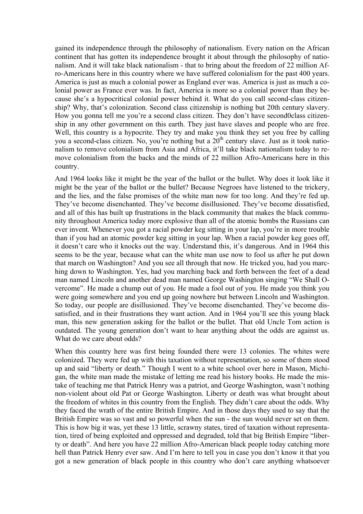gained its independence through the philosophy of nationalism. Every nation on the African continent that has gotten its independence brought it about through the philosophy of nationalism. And it will take black nationalism - that to bring about the freedom of 22 million Afro-Americans here in this country where we have suffered colonialism for the past 400 years. America is just as much a colonial power as England ever was. America is just as much a colonial power as France ever was. In fact, America is more so a colonial power than they because she's a hypocritical colonial power behind it. What do you call second-class citizenship? Why, that's colonization. Second class citizenship is nothing but 20th century slavery. How you gonna tell me you're a second class citizen. They don't have second0class citizenship in any other government on this earth. They just have slaves and people who are free. Well, this country is a hypocrite. They try and make you think they set you free by calling you a second-class citizen. No, you're nothing but a 20<sup>th</sup> century slave. Just as it took nationalism to remove colonialism from Asia and Africa, it'll take black nationalism today to remove colonialism from the backs and the minds of 22 million Afro-Americans here in this country.

And 1964 looks like it might be the year of the ballot or the bullet. Why does it look like it might be the year of the ballot or the bullet? Because Negroes have listened to the trickery, and the lies, and the false promises of the white man now for too long. And they're fed up. They've become disenchanted. They've become disillusioned. They've become dissatisfied, and all of this has built up frustrations in the black community that makes the black community throughout America today more explosive than all of the atomic bombs the Russians can ever invent. Whenever you got a racial powder keg sitting in your lap, you're in more trouble than if you had an atomic powder keg sitting in your lap. When a racial powder keg goes off, it doesn't care who it knocks out the way. Understand this, it's dangerous. And in 1964 this seems to be the year, because what can the white man use now to fool us after he put down that march on Washington? And you see all through that now. He tricked you, had you marching down to Washington. Yes, had you marching back and forth between the feet of a dead man named Lincoln and another dead man named George Washington singing "We Shall Overcome". He made a chump out of you. He made a fool out of you. He made you think you were going somewhere and you end up going nowhere but between Lincoln and Washington. So today, our people are disillusioned. They've become disenchanted. They've become dissatisfied, and in their frustrations they want action. And in 1964 you'll see this young black man, this new generation asking for the ballot or the bullet. That old Uncle Tom action is outdated. The young generation don't want to hear anything about the odds are against us. What do we care about odds?

When this country here was first being founded there were 13 colonies. The whites were colonized. They were fed up with this taxation without representation, so some of them stood up and said "liberty or death." Though I went to a white school over here in Mason, Michigan, the white man made the mistake of letting me read his history books. He made the mistake of teaching me that Patrick Henry was a patriot, and George Washington, wasn't nothing non-violent about old Pat or George Washington. Liberty or death was what brought about the freedom of whites in this country from the English. They didn't care about the odds. Why they faced the wrath of the entire British Empire. And in those days they used to say that the British Empire was so vast and so powerful when the sun - the sun would never set on them. This is how big it was, yet these 13 little, scrawny states, tired of taxation without representation, tired of being exploited and oppressed and degraded, told that big British Empire "liberty or death". And here you have 22 million Afro-American black people today catching more hell than Patrick Henry ever saw. And I'm here to tell you in case you don't know it that you got a new generation of black people in this country who don't care anything whatsoever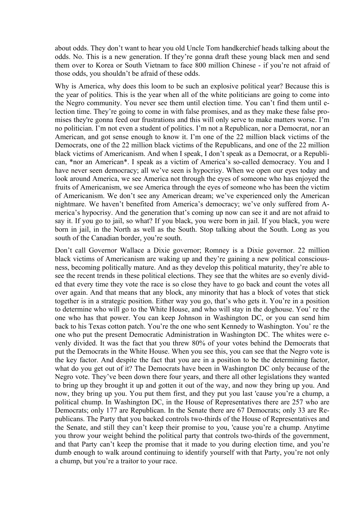about odds. They don't want to hear you old Uncle Tom handkerchief heads talking about the odds. No. This is a new generation. If they're gonna draft these young black men and send them over to Korea or South Vietnam to face 800 million Chinese - if you're not afraid of those odds, you shouldn't be afraid of these odds.

Why is America, why does this loom to be such an explosive political year? Because this is the year of politics. This is the year when all of the white politicians are going to come into the Negro community. You never see them until election time. You can't find them until election time. They're going to come in with false promises, and as they make these false promises they're gonna feed our frustrations and this will only serve to make matters worse. I'm no politician. I'm not even a student of politics. I'm not a Republican, nor a Democrat, nor an American, and got sense enough to know it. I'm one of the 22 million black victims of the Democrats, one of the 22 million black victims of the Republicans, and one of the 22 million black victims of Americanism. And when I speak, I don't speak as a Democrat, or a Republican, \*nor an American\*. I speak as a victim of America's so-called democracy. You and I have never seen democracy; all we've seen is hypocrisy. When we open our eyes today and look around America, we see America not through the eyes of someone who has enjoyed the fruits of Americanism, we see America through the eyes of someone who has been the victim of Americanism. We don't see any American dream; we've experienced only the American nightmare. We haven't benefited from America's democracy; we've only suffered from America's hypocrisy. And the generation that's coming up now can see it and are not afraid to say it. If you go to jail, so what? If you black, you were born in jail. If you black, you were born in jail, in the North as well as the South. Stop talking about the South. Long as you south of the Canadian border, you're south.

Don't call Governor Wallace a Dixie governor; Romney is a Dixie governor. 22 million black victims of Americanism are waking up and they're gaining a new political consciousness, becoming politically mature. And as they develop this political maturity, they're able to see the recent trends in these political elections. They see that the whites are so evenly divided that every time they vote the race is so close they have to go back and count the votes all over again. And that means that any block, any minority that has a block of votes that stick together is in a strategic position. Either way you go, that's who gets it. You're in a position to determine who will go to the White House, and who will stay in the doghouse. You' re the one who has that power. You can keep Johnson in Washington DC, or you can send him back to his Texas cotton patch. You're the one who sent Kennedy to Washington. You' re the one who put the present Democratic Administration in Washington DC. The whites were evenly divided. It was the fact that you threw 80% of your votes behind the Democrats that put the Democrats in the White House. When you see this, you can see that the Negro vote is the key factor. And despite the fact that you are in a position to be the determining factor, what do you get out of it? The Democrats have been in Washington DC only because of the Negro vote. They've been down there four years, and there all other legislations they wanted to bring up they brought it up and gotten it out of the way, and now they bring up you. And now, they bring up you. You put them first, and they put you last 'cause you're a chump, a political chump. In Washington DC, in the House of Representatives there are 257 who are Democrats; only 177 are Republican. In the Senate there are 67 Democrats; only 33 are Republicans. The Party that you backed controls two-thirds of the House of Representatives and the Senate, and still they can't keep their promise to you, 'cause you're a chump. Anytime you throw your weight behind the political party that controls two-thirds of the government, and that Party can't keep the promise that it made to you during election time, and you're dumb enough to walk around continuing to identify yourself with that Party, you're not only a chump, but you're a traitor to your race.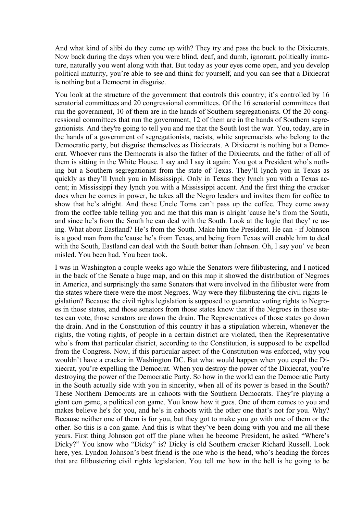And what kind of alibi do they come up with? They try and pass the buck to the Dixiecrats. Now back during the days when you were blind, deaf, and dumb, ignorant, politically immature, naturally you went along with that. But today as your eyes come open, and you develop political maturity, you're able to see and think for yourself, and you can see that a Dixiecrat is nothing but a Democrat in disguise.

You look at the structure of the government that controls this country; it's controlled by 16 senatorial committees and 20 congressional committees. Of the 16 senatorial committees that run the government, 10 of them are in the hands of Southern segregationists. Of the 20 congressional committees that run the government, 12 of them are in the hands of Southern segregationists. And they're going to tell you and me that the South lost the war. You, today, are in the hands of a government of segregationists, racists, white supremacists who belong to the Democratic party, but disguise themselves as Dixiecrats. A Dixiecrat is nothing but a Democrat. Whoever runs the Democrats is also the father of the Dixiecrats, and the father of all of them is sitting in the White House. I say and I say it again: You got a President who's nothing but a Southern segregationist from the state of Texas. They'll lynch you in Texas as quickly as they'll lynch you in Mississippi. Only in Texas they lynch you with a Texas accent; in Mississippi they lynch you with a Mississippi accent. And the first thing the cracker does when he comes in power, he takes all the Negro leaders and invites them for coffee to show that he's alright. And those Uncle Toms can't pass up the coffee. They come away from the coffee table telling you and me that this man is alright 'cause he's from the South, and since he's from the South he can deal with the South. Look at the logic that they' re using. What about Eastland? He's from the South. Make him the President. He can - if Johnson is a good man from the 'cause he's from Texas, and being from Texas will enable him to deal with the South, Eastland can deal with the South better than Johnson. Oh, I say you' ve been misled. You been had. You been took.

I was in Washington a couple weeks ago while the Senators were filibustering, and I noticed in the back of the Senate a huge map, and on this map it showed the distribution of Negroes in America, and surprisingly the same Senators that were involved in the filibuster were from the states where there were the most Negroes. Why were they filibustering the civil rights legislation? Because the civil rights legislation is supposed to guarantee voting rights to Negroes in those states, and those senators from those states know that if the Negroes in those states can vote, those senators are down the drain. The Representatives of those states go down the drain. And in the Constitution of this country it has a stipulation wherein, whenever the rights, the voting rights, of people in a certain district are violated, then the Representative who's from that particular district, according to the Constitution, is supposed to be expelled from the Congress. Now, if this particular aspect of the Constitution was enforced, why you wouldn't have a cracker in Washington DC. But what would happen when you expel the Dixiecrat, you're expelling the Democrat. When you destroy the power of the Dixiecrat, you're destroying the power of the Democratic Party. So how in the world can the Democratic Party in the South actually side with you in sincerity, when all of its power is based in the South? These Northern Democrats are in cahoots with the Southern Democrats. They're playing a giant con game, a political con game. You know how it goes. One of them comes to you and makes believe he's for you, and he's in cahoots with the other one that's not for you. Why? Because neither one of them is for you, but they got to make you go with one of them or the other. So this is a con game. And this is what they've been doing with you and me all these years. First thing Johnson got off the plane when he become President, he asked "Where's Dicky?" You know who "Dicky" is? Dicky is old Southern cracker Richard Russell. Look here, yes. Lyndon Johnson's best friend is the one who is the head, who's heading the forces that are filibustering civil rights legislation. You tell me how in the hell is he going to be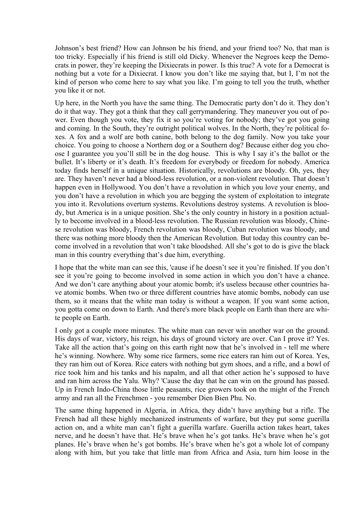Johnson's best friend? How can Johnson be his friend, and your friend too? No, that man is too tricky. Especially if his friend is still old Dicky. Whenever the Negroes keep the Democrats in power, they're keeping the Dixiecrats in power. Is this true? A vote for a Democrat is nothing but a vote for a Dixiecrat. I know you don't like me saying that, but I, I'm not the kind of person who come here to say what you like. I'm going to tell you the truth, whether you like it or not.

Up here, in the North you have the same thing. The Democratic party don't do it. They don't do it that way. They got a think that they call gerrymandering. They maneuver you out of power. Even though you vote, they fix it so you're voting for nobody; they've got you going and coming. In the South, they're outright political wolves. In the North, they're political foxes. A fox and a wolf are both canine, both belong to the dog family. Now you take your choice. You going to choose a Northern dog or a Southern dog? Because either dog you choose I guarantee you you'll still be in the dog house. This is why I say it's the ballot or the bullet. It's liberty or it's death. It's freedom for everybody or freedom for nobody. America today finds herself in a unique situation. Historically, revolutions are bloody. Oh, yes, they are. They haven't never had a blood-less revolution, or a non-violent revolution. That doesn't happen even in Hollywood. You don't have a revolution in which you love your enemy, and you don't have a revolution in which you are begging the system of exploitation to integrate you into it. Revolutions overturn systems. Revolutions destroy systems. A revolution is bloody, but America is in a unique position. She's the only country in history in a position actually to become involved in a blood-less revolution. The Russian revolution was bloody, Chinese revolution was bloody, French revolution was bloody, Cuban revolution was bloody, and there was nothing more bloody then the American Revolution. But today this country can become involved in a revolution that won't take bloodshed. All she's got to do is give the black man in this country everything that's due him, everything.

I hope that the white man can see this, 'cause if he doesn't see it you're finished. If you don't see it you're going to become involved in some action in which you don't have a chance. And we don't care anything about your atomic bomb; it's useless because other countries have atomic bombs. When two or three different countries have atomic bombs, nobody can use them, so it means that the white man today is without a weapon. If you want some action, you gotta come on down to Earth. And there's more black people on Earth than there are white people on Earth.

I only got a couple more minutes. The white man can never win another war on the ground. His days of war, victory, his reign, his days of ground victory are over. Can I prove it? Yes. Take all the action that's going on this earth right now that he's involved in - tell me where he's winning. Nowhere. Why some rice farmers, some rice eaters ran him out of Korea. Yes, they ran him out of Korea. Rice eaters with nothing but gym shoes, and a rifle, and a bowl of rice took him and his tanks and his napalm, and all that other action he's supposed to have and ran him across the Yalu. Why? 'Cause the day that he can win on the ground has passed. Up in French Indo-China those little peasants, rice growers took on the might of the French army and ran all the Frenchmen - you remember Dien Bien Phu. No.

The same thing happened in Algeria, in Africa, they didn't have anything but a rifle. The French had all these highly mechanized instruments of warfare, but they put some guerilla action on, and a white man can't fight a guerilla warfare. Guerilla action takes heart, takes nerve, and he doesn't have that. He's brave when he's got tanks. He's brave when he's got planes. He's brave when he's got bombs. He's brave when he's got a whole lot of company along with him, but you take that little man from Africa and Asia, turn him loose in the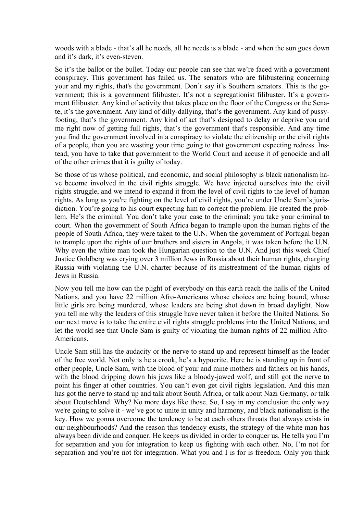woods with a blade - that's all he needs, all he needs is a blade - and when the sun goes down and it's dark, it's even-steven.

So it's the ballot or the bullet. Today our people can see that we're faced with a government conspiracy. This government has failed us. The senators who are filibustering concerning your and my rights, that's the government. Don't say it's Southern senators. This is the government; this is a government filibuster. It's not a segregationist filibuster. It's a government filibuster. Any kind of activity that takes place on the floor of the Congress or the Senate, it's the government. Any kind of dilly-dallying, that's the government. Any kind of pussyfooting, that's the government. Any kind of act that's designed to delay or deprive you and me right now of getting full rights, that's the government that's responsible. And any time you find the government involved in a conspiracy to violate the citizenship or the civil rights of a people, then you are wasting your time going to that government expecting redress. Instead, you have to take that government to the World Court and accuse it of genocide and all of the other crimes that it is guilty of today.

So those of us whose political, and economic, and social philosophy is black nationalism have become involved in the civil rights struggle. We have injected ourselves into the civil rights struggle, and we intend to expand it from the level of civil rights to the level of human rights. As long as you're fighting on the level of civil rights, you're under Uncle Sam's jurisdiction. You're going to his court expecting him to correct the problem. He created the problem. He's the criminal. You don't take your case to the criminal; you take your criminal to court. When the government of South Africa began to trample upon the human rights of the people of South Africa, they were taken to the U.N. When the government of Portugal began to trample upon the rights of our brothers and sisters in Angola, it was taken before the U.N. Why even the white man took the Hungarian question to the U.N. And just this week Chief Justice Goldberg was crying over 3 million Jews in Russia about their human rights, charging Russia with violating the U.N. charter because of its mistreatment of the human rights of Jews in Russia.

Now you tell me how can the plight of everybody on this earth reach the halls of the United Nations, and you have 22 million Afro-Americans whose choices are being bound, whose little girls are being murdered, whose leaders are being shot down in broad daylight. Now you tell me why the leaders of this struggle have never taken it before the United Nations. So our next move is to take the entire civil rights struggle problems into the United Nations, and let the world see that Uncle Sam is guilty of violating the human rights of 22 million Afro-Americans.

Uncle Sam still has the audacity or the nerve to stand up and represent himself as the leader of the free world. Not only is he a crook, he's a hypocrite. Here he is standing up in front of other people, Uncle Sam, with the blood of your and mine mothers and fathers on his hands, with the blood dripping down his jaws like a bloody-jawed wolf, and still got the nerve to point his finger at other countries. You can't even get civil rights legislation. And this man has got the nerve to stand up and talk about South Africa, or talk about Nazi Germany, or talk about Deutschland. Why? No more days like those. So, I say in my conclusion the only way we're going to solve it - we've got to unite in unity and harmony, and black nationalism is the key. How we gonna overcome the tendency to be at each others throats that always exists in our neighbourhoods? And the reason this tendency exists, the strategy of the white man has always been divide and conquer. He keeps us divided in order to conquer us. He tells you I'm for separation and you for integration to keep us fighting with each other. No, I'm not for separation and you're not for integration. What you and I is for is freedom. Only you think